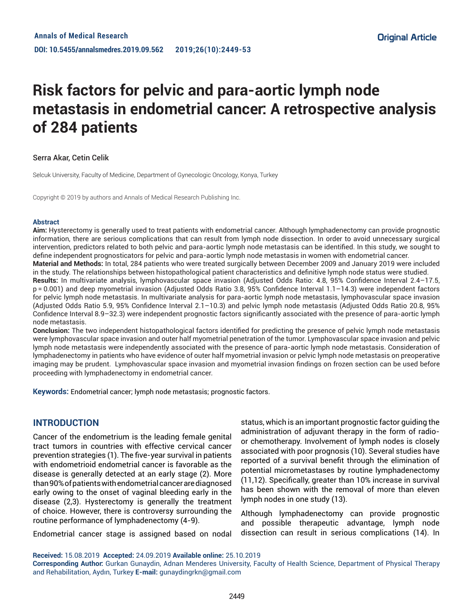# **Risk factors for pelvic and para-aortic lymph node metastasis in endometrial cancer: A retrospective analysis of 284 patients**

#### Serra Akar, Cetin Celik

Selcuk University, Faculty of Medicine, Department of Gynecologic Oncology, Konya, Turkey

Copyright © 2019 by authors and Annals of Medical Research Publishing Inc.

#### **Abstract**

**Aim:** Hysterectomy is generally used to treat patients with endometrial cancer. Although lymphadenectomy can provide prognostic information, there are serious complications that can result from lymph node dissection. In order to avoid unnecessary surgical intervention, predictors related to both pelvic and para-aortic lymph node metastasis can be identified. In this study, we sought to define independent prognosticators for pelvic and para-aortic lymph node metastasis in women with endometrial cancer. **Material and Methods:** In total, 284 patients who were treated surgically between December 2009 and January 2019 were included in the study. The relationships between histopathological patient characteristics and definitive lymph node status were studied. **Results:** In multivariate analysis, lymphovascular space invasion (Adjusted Odds Ratio: 4.8, 95% Confidence Interval 2.4–17.5, p = 0.001) and deep myometrial invasion (Adjusted Odds Ratio 3.8, 95% Confidence Interval 1.1–14.3) were independent factors

for pelvic lymph node metastasis. In multivariate analysis for para-aortic lymph node metastasis, lymphovascular space invasion (Adjusted Odds Ratio 5.9, 95% Confidence Interval 2.1–10.3) and pelvic lymph node metastasis (Adjusted Odds Ratio 20.8, 95% Confidence Interval 8.9–32.3) were independent prognostic factors significantly associated with the presence of para-aortic lymph node metastasis.

**Conclusion:** The two independent histopathological factors identified for predicting the presence of pelvic lymph node metastasis were lymphovascular space invasion and outer half myometrial penetration of the tumor. Lymphovascular space invasion and pelvic lymph node metastasis were independently associated with the presence of para-aortic lymph node metastasis. Consideration of lymphadenectomy in patients who have evidence of outer half myometrial invasion or pelvic lymph node metastasis on preoperative imaging may be prudent. Lymphovascular space invasion and myometrial invasion findings on frozen section can be used before proceeding with lymphadenectomy in endometrial cancer.

**Keywords:** Endometrial cancer; lymph node metastasis; prognostic factors.

## **INTRODUCTION**

Cancer of the endometrium is the leading female genital tract tumors in countries with effective cervical cancer prevention strategies (1). The five-year survival in patients with endometrioid endometrial cancer is favorable as the disease is generally detected at an early stage (2). More than 90% of patients with endometrial cancer are diagnosed early owing to the onset of vaginal bleeding early in the disease (2,3). Hysterectomy is generally the treatment of choice. However, there is controversy surrounding the routine performance of lymphadenectomy (4-9).

Endometrial cancer stage is assigned based on nodal

status, which is an important prognostic factor guiding the administration of adjuvant therapy in the form of radioor chemotherapy. Involvement of lymph nodes is closely associated with poor prognosis (10). Several studies have reported of a survival benefit through the elimination of potential micrometastases by routine lymphadenectomy (11,12). Specifically, greater than 10% increase in survival has been shown with the removal of more than eleven lymph nodes in one study (13).

Although lymphadenectomy can provide prognostic and possible therapeutic advantage, lymph node dissection can result in serious complications (14). In

**Received:** 15.08.2019 **Accepted:** 24.09.2019 **Available online:** 25.10.2019

**Corresponding Author:** Gurkan Gunaydin, Adnan Menderes University, Faculty of Health Science, Department of Physical Therapy and Rehabilitation, Aydın, Turkey **E-mail:** gunaydingrkn@gmail.com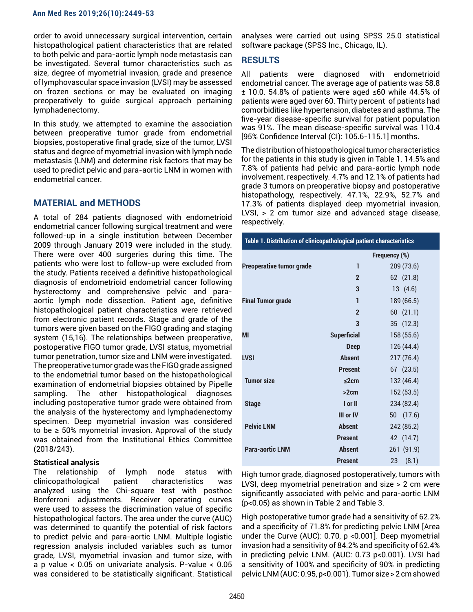order to avoid unnecessary surgical intervention, certain histopathological patient characteristics that are related to both pelvic and para-aortic lymph node metastasis can be investigated. Several tumor characteristics such as size, degree of myometrial invasion, grade and presence of lymphovascular space invasion (LVSI) may be assessed on frozen sections or may be evaluated on imaging preoperatively to guide surgical approach pertaining lymphadenectomy.

In this study, we attempted to examine the association between preoperative tumor grade from endometrial biopsies, postoperative final grade, size of the tumor, LVSI status and degree of myometrial invasion with lymph node metastasis (LNM) and determine risk factors that may be used to predict pelvic and para-aortic LNM in women with endometrial cancer.

## **MATERIAL and METHODS**

A total of 284 patients diagnosed with endometrioid endometrial cancer following surgical treatment and were followed-up in a single institution between December 2009 through January 2019 were included in the study. There were over 400 surgeries during this time. The patients who were lost to follow-up were excluded from the study. Patients received a definitive histopathological diagnosis of endometrioid endometrial cancer following hysterectomy and comprehensive pelvic and paraaortic lymph node dissection. Patient age, definitive histopathological patient characteristics were retrieved from electronic patient records. Stage and grade of the tumors were given based on the FIGO grading and staging system (15,16). The relationships between preoperative, postoperative FIGO tumor grade, LVSI status, myometrial tumor penetration, tumor size and LNM were investigated. The preoperative tumor grade was the FIGO grade assigned to the endometrial tumor based on the histopathological examination of endometrial biopsies obtained by Pipelle sampling. The other histopathological diagnoses including postoperative tumor grade were obtained from the analysis of the hysterectomy and lymphadenectomy specimen. Deep myometrial invasion was considered to be  $\geq$  50% myometrial invasion. Approval of the study was obtained from the Institutional Ethics Committee (2018/243).

#### **Statistical analysis**

The relationship of lymph node status with clinicopathological patient characteristics was analyzed using the Chi-square test with posthoc Bonferroni adjustments. Receiver operating curves were used to assess the discrimination value of specific histopathological factors. The area under the curve (AUC) was determined to quantify the potential of risk factors to predict pelvic and para-aortic LNM. Multiple logistic regression analysis included variables such as tumor grade, LVSI, myometrial invasion and tumor size, with a p value < 0.05 on univariate analysis. P-value < 0.05 was considered to be statistically significant. Statistical

analyses were carried out using SPSS 25.0 statistical software package (SPSS Inc., Chicago, IL).

# **RESULTS**

All patients were diagnosed with endometrioid endometrial cancer. The average age of patients was 58.8 ± 10.0. 54.8% of patients were aged ≤60 while 44.5% of patients were aged over 60. Thirty percent of patients had comorbidities like hypertension, diabetes and asthma. The five-year disease-specific survival for patient population was 91%. The mean disease-specific survival was 110.4 [95% Confidence Interval (CI): 105.6-115.1] months.

The distribution of histopathological tumor characteristics for the patients in this study is given in Table 1. 14.5% and 7.8% of patients had pelvic and para-aortic lymph node involvement, respectively. 4.7% and 12.1% of patients had grade 3 tumors on preoperative biopsy and postoperative histopathology, respectively. 47.1%, 22.9%, 52.7% and 17.3% of patients displayed deep myometrial invasion, LVSI, > 2 cm tumor size and advanced stage disease, respectively.

| Table 1. Distribution of clinicopathological patient characteristics |                    |               |  |  |
|----------------------------------------------------------------------|--------------------|---------------|--|--|
|                                                                      |                    | Frequency (%) |  |  |
| <b>Preoperative tumor grade</b>                                      | 1                  | 209 (73.6)    |  |  |
|                                                                      | $\mathbf{2}$       | 62 (21.8)     |  |  |
|                                                                      | 3                  | 13(4.6)       |  |  |
| <b>Final Tumor grade</b>                                             | 1                  | 189 (66.5)    |  |  |
|                                                                      | $\overline{2}$     | 60(21.1)      |  |  |
|                                                                      | 3                  | 35 (12.3)     |  |  |
| <b>MI</b>                                                            | <b>Superficial</b> | 158 (55.6)    |  |  |
|                                                                      | <b>Deep</b>        | 126(44.4)     |  |  |
| <b>LVSI</b>                                                          | <b>Absent</b>      | 217(76.4)     |  |  |
|                                                                      | <b>Present</b>     | $67$ $(23.5)$ |  |  |
| <b>Tumor size</b>                                                    | ≤2cm               | 132 (46.4)    |  |  |
|                                                                      | >2cm               | 152(53.5)     |  |  |
| <b>Stage</b>                                                         | I or II            | 234 (82.4)    |  |  |
|                                                                      | III or IV          | 50 (17.6)     |  |  |
| <b>Pelvic LNM</b>                                                    | <b>Absent</b>      | 242 (85.2)    |  |  |
|                                                                      | <b>Present</b>     | 42 (14.7)     |  |  |
| <b>Para-aortic LNM</b>                                               | <b>Absent</b>      | 261 (91.9)    |  |  |
|                                                                      | <b>Present</b>     | (8.1)<br>23   |  |  |

High tumor grade, diagnosed postoperatively, tumors with LVSI, deep myometrial penetration and size > 2 cm were significantly associated with pelvic and para-aortic LNM (p<0.05) as shown in Table 2 and Table 3.

High postoperative tumor grade had a sensitivity of 62.2% and a specificity of 71.8% for predicting pelvic LNM [Area under the Curve (AUC): 0.70, p <0.001]. Deep myometrial invasion had a sensitivity of 84.2% and specificity of 62.4% in predicting pelvic LNM. (AUC: 0.73 p<0.001). LVSI had a sensitivity of 100% and specificity of 90% in predicting pelvic LNM (AUC: 0.95, p<0.001). Tumor size > 2 cm showed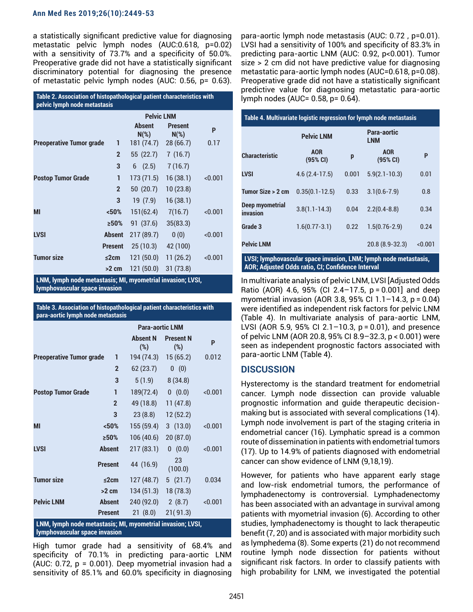#### **Ann Med Res 2019;26(10):2449-53**

a statistically significant predictive value for diagnosing metastatic pelvic lymph nodes (AUC:0.618, p=0.02) with a sensitivity of 73.7% and a specificity of 50.0%. Preoperative grade did not have a statistically significant discriminatory potential for diagnosing the presence of metastatic pelvic lymph nodes (AUC: 0.56, p= 0.63).

| Table 2. Association of histopathological patient characteristics with<br>pelvic lymph node metastasis |                |                          |                           |         |
|--------------------------------------------------------------------------------------------------------|----------------|--------------------------|---------------------------|---------|
|                                                                                                        |                | <b>Pelvic LNM</b>        |                           |         |
|                                                                                                        |                | <b>Absent</b><br>$N(\%)$ | <b>Present</b><br>$N(\%)$ | P       |
| <b>Preoperative Tumor grade</b>                                                                        | 1              | 181 (74.7)               | 28 (66.7)                 | 0.17    |
|                                                                                                        | $\overline{2}$ | 55(22.7)                 | 7(16.7)                   |         |
|                                                                                                        | 3              | 6(2.5)                   | 7(16.7)                   |         |
| <b>Postop Tumor Grade</b>                                                                              | 1              | 173 (71.5)               | 16(38.1)                  | < 0.001 |
|                                                                                                        | $\overline{2}$ | 50(20.7)                 | 10(23.8)                  |         |
|                                                                                                        | 3              | 19 (7.9)                 | 16(38.1)                  |         |
| MI                                                                                                     | < 50%          | 151(62.4)                | 7(16.7)                   | < 0.001 |
|                                                                                                        | >50%           | 91 (37.6)                | 35(83.3)                  |         |
| <b>LVSI</b>                                                                                            | <b>Absent</b>  | 217 (89.7)               | 0(0)                      | < 0.001 |
|                                                                                                        | <b>Present</b> | 25(10.3)                 | 42 (100)                  |         |
| <b>Tumor size</b>                                                                                      | ≤2cm           | 121(50.0)                | 11(26.2)                  | < 0.001 |
|                                                                                                        | $>2$ cm        | 121(50.0)                | 31 (73.8)                 |         |
| п.<br>.<br>п.                                                                                          | .              |                          |                           |         |

**LNM, lymph node metastasis; MI, myometrial invasion; LVSI, lymphovascular space invasion**

**Table 3. Association of histopathological patient characteristics with para-aortic lymph node metastasis**

|                                                                                             |                | <b>Para-aortic LNM</b> |                            |         |  |
|---------------------------------------------------------------------------------------------|----------------|------------------------|----------------------------|---------|--|
|                                                                                             |                | <b>Absent N</b><br>(%) | <b>Present N</b><br>$(\%)$ | P       |  |
| <b>Preoperative Tumor grade</b>                                                             | 1              | 194 (74.3)             | 15(65.2)                   | 0.012   |  |
|                                                                                             | $\overline{2}$ | 62(23.7)               | 0 (0)                      |         |  |
|                                                                                             | 3              | 5(1.9)                 | 8(34.8)                    |         |  |
| <b>Postop Tumor Grade</b>                                                                   | $\mathbf{1}$   | 189(72.4)              | 0(0.0)                     | < 0.001 |  |
|                                                                                             | $\overline{2}$ | 49 (18.8)              | 11(47.8)                   |         |  |
|                                                                                             | 3              | 23(8.8)                | 12(52.2)                   |         |  |
| MI                                                                                          | < 50%          | 155 (59.4)             | 3(13.0)                    | < 0.001 |  |
|                                                                                             | >50%           | 106(40.6)              | 20(87.0)                   |         |  |
| <b>LVSI</b>                                                                                 | <b>Absent</b>  | 217(83.1)              | 0(0.0)                     | < 0.001 |  |
|                                                                                             | <b>Present</b> | 44 (16.9)              | 23<br>(100.0)              |         |  |
| <b>Tumor size</b>                                                                           | ≤2cm           | 127(48.7)              | 5(21.7)                    | 0.034   |  |
|                                                                                             | $>2$ cm        | 134(51.3)              | 18(78.3)                   |         |  |
| <b>Pelvic LNM</b>                                                                           | <b>Absent</b>  | 240 (92.0)             | 2(8.7)                     | < 0.001 |  |
|                                                                                             | <b>Present</b> | 21(8.0)                | 21(91.3)                   |         |  |
| LNM, lymph node metastasis; MI, myometrial invasion; LVSI,<br>lymphovascular space invasion |                |                        |                            |         |  |

High tumor grade had a sensitivity of 68.4% and specificity of 70.1% in predicting para-aortic LNM (AUC: 0.72, p = 0.001). Deep myometrial invasion had a sensitivity of 85.1% and 60.0% specificity in diagnosing para-aortic lymph node metastasis (AUC: 0.72 , p=0.01). LVSI had a sensitivity of 100% and specificity of 83.3% in predicting para-aortic LNM (AUC: 0.92, p<0.001). Tumor size > 2 cm did not have predictive value for diagnosing metastatic para-aortic lymph nodes (AUC=0.618, p=0.08). Preoperative grade did not have a statistically significant predictive value for diagnosing metastatic para-aortic lymph nodes (AUC= 0.58, p= 0.64).

| Table 4. Multivariate logistic regression for lymph node metastasis |                        |                           |                        |         |  |
|---------------------------------------------------------------------|------------------------|---------------------------|------------------------|---------|--|
|                                                                     | <b>Pelvic LNM</b>      | Para-aortic<br><b>LNM</b> |                        |         |  |
| <b>Characteristic</b>                                               | <b>AOR</b><br>(95% CI) | p                         | <b>AOR</b><br>(95% CI) | P       |  |
| <b>LVSI</b>                                                         | $4.6(2.4-17.5)$        | 0.001                     | $5.9(2.1 - 10.3)$      | 0.01    |  |
| Tumor Size > 2 cm                                                   | $0.35(0.1 - 12.5)$     | 0.33                      | $3.1(0.6 - 7.9)$       | 0.8     |  |
| Deep myometrial<br>invasion                                         | $3.8(1.1 - 14.3)$      | 0.04                      | $2.2(0.4 - 8.8)$       | 0.34    |  |
| Grade 3                                                             | $1.6(0.77 - 3.1)$      | 0.22                      | $1.5(0.76 - 2.9)$      | 0.24    |  |
| <b>Pelvic LNM</b>                                                   |                        |                           | 20.8 (8.9-32.3)        | < 0.001 |  |
| LVSI; lymphovascular space invasion, LNM; lymph node metastasis,    |                        |                           |                        |         |  |

**AOR; Adjusted Odds ratio, CI; Confidence Interval** In multivariate analysis of pelvic LNM, LVSI [Adjusted Odds

Ratio (AOR) 4.6, 95% (CI 2.4–17.5, p = 0.001] and deep myometrial invasion (AOR 3.8, 95% CI 1.1–14.3, p = 0.04) were identified as independent risk factors for pelvic LNM (Table 4). In multivariate analysis of para-aortic LNM, LVSI (AOR 5.9, 95% CI 2.1–10.3, p = 0.01), and presence of pelvic LNM (AOR 20.8, 95% CI 8.9–32.3, p < 0.001) were seen as independent prognostic factors associated with para-aortic LNM (Table 4).

## **DISCUSSION**

Hysterectomy is the standard treatment for endometrial cancer. Lymph node dissection can provide valuable prognostic information and guide therapeutic decisionmaking but is associated with several complications (14). Lymph node involvement is part of the staging criteria in endometrial cancer (16). Lymphatic spread is a common route of dissemination in patients with endometrial tumors (17). Up to 14.9% of patients diagnosed with endometrial cancer can show evidence of LNM (9,18,19).

However, for patients who have apparent early stage and low-risk endometrial tumors, the performance of lymphadenectomy is controversial. Lymphadenectomy has been associated with an advantage in survival among patients with myometrial invasion (6). According to other studies, lymphadenectomy is thought to lack therapeutic benefit (7, 20) and is associated with major morbidity such as lymphedema (8). Some experts (21) do not recommend routine lymph node dissection for patients without significant risk factors. In order to classify patients with high probability for LNM, we investigated the potential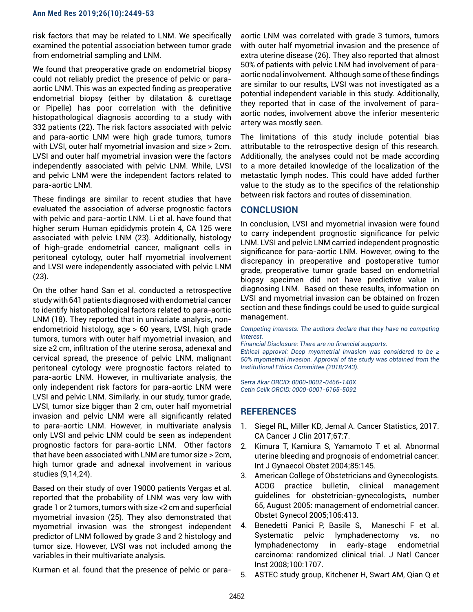risk factors that may be related to LNM. We specifically examined the potential association between tumor grade from endometrial sampling and LNM.

We found that preoperative grade on endometrial biopsy could not reliably predict the presence of pelvic or paraaortic LNM. This was an expected finding as preoperative endometrial biopsy (either by dilatation & curettage or Pipelle) has poor correlation with the definitive histopathological diagnosis according to a study with 332 patients (22). The risk factors associated with pelvic and para-aortic LNM were high grade tumors, tumors with LVSI, outer half myometrial invasion and size > 2cm. LVSI and outer half myometrial invasion were the factors independently associated with pelvic LNM. While, LVSI and pelvic LNM were the independent factors related to para-aortic LNM.

These findings are similar to recent studies that have evaluated the association of adverse prognostic factors with pelvic and para-aortic LNM. Li et al. have found that higher serum Human epididymis protein 4, CA 125 were associated with pelvic LNM (23). Additionally, histology of high-grade endometrial cancer, malignant cells in peritoneal cytology, outer half myometrial involvement and LVSI were independently associated with pelvic LNM (23).

On the other hand Sarı et al. conducted a retrospective study with 641 patients diagnosed with endometrial cancer to identify histopathological factors related to para-aortic LNM (18). They reported that in univariate analysis, nonendometrioid histology, age > 60 years, LVSI, high grade tumors, tumors with outer half myometrial invasion, and size ≥2 cm, infiltration of the uterine serosa, adenexal and cervical spread, the presence of pelvic LNM, malignant peritoneal cytology were prognostic factors related to para-aortic LNM. However, in multivariate analysis, the only independent risk factors for para-aortic LNM were LVSI and pelvic LNM. Similarly, in our study, tumor grade, LVSI, tumor size bigger than 2 cm, outer half myometrial invasion and pelvic LNM were all significantly related to para-aortic LNM. However, in multivariate analysis only LVSI and pelvic LNM could be seen as independent prognostic factors for para-aortic LNM. Other factors that have been associated with LNM are tumor size > 2cm, high tumor grade and adnexal involvement in various studies (9,14,24).

Based on their study of over 19000 patients Vergas et al. reported that the probability of LNM was very low with grade 1 or 2 tumors, tumors with size <2 cm and superficial myometrial invasion (25). They also demonstrated that myometrial invasion was the strongest independent predictor of LNM followed by grade 3 and 2 histology and tumor size. However, LVSI was not included among the variables in their multivariate analysis.

Kurman et al. found that the presence of pelvic or para-

aortic LNM was correlated with grade 3 tumors, tumors with outer half myometrial invasion and the presence of extra uterine disease (26). They also reported that almost 50% of patients with pelvic LNM had involvement of paraaortic nodal involvement. Although some of these findings are similar to our results, LVSI was not investigated as a potential independent variable in this study. Additionally, they reported that in case of the involvement of paraaortic nodes, involvement above the inferior mesenteric artery was mostly seen.

The limitations of this study include potential bias attributable to the retrospective design of this research. Additionally, the analyses could not be made according to a more detailed knowledge of the localization of the metastatic lymph nodes. This could have added further value to the study as to the specifics of the relationship between risk factors and routes of dissemination.

#### **CONCLUSION**

In conclusion, LVSI and myometrial invasion were found to carry independent prognostic significance for pelvic LNM. LVSI and pelvic LNM carried independent prognostic significance for para-aortic LNM. However, owing to the discrepancy in preoperative and postoperative tumor grade, preoperative tumor grade based on endometrial biopsy specimen did not have predictive value in diagnosing LNM. Based on these results, information on LVSI and myometrial invasion can be obtained on frozen section and these findings could be used to guide surgical management.

*Competing interests: The authors declare that they have no competing interest.* 

*Financial Disclosure: There are no financial supports.* 

*Ethical approval: Deep myometrial invasion was considered to be ≥ 50% myometrial invasion. Approval of the study was obtained from the Institutional Ethics Committee (2018/243).*

*Serra Akar ORCID: 0000-0002-0466-140X Cetin Celik ORCID: 0000-0001-6165-5092*

# **REFERENCES**

- 1. Siegel RL, Miller KD, Jemal A. Cancer Statistics, 2017. CA Cancer J Clin 2017;67:7.
- 2. Kimura T, Kamiura S, Yamamoto T et al. Abnormal uterine bleeding and prognosis of endometrial cancer. Int J Gynaecol Obstet 2004;85:145.
- 3. American College of Obstetricians and Gynecologists. ACOG practice bulletin, clinical management guidelines for obstetrician-gynecologists, number 65, August 2005: management of endometrial cancer. Obstet Gynecol 2005;106:413.
- 4. Benedetti Panici P, Basile S, Maneschi F et al. Systematic pelvic lymphadenectomy vs. no lymphadenectomy in early-stage endometrial carcinoma: randomized clinical trial. J Natl Cancer Inst 2008;100:1707.
- 5. ASTEC study group, Kitchener H, Swart AM, Qian Q et